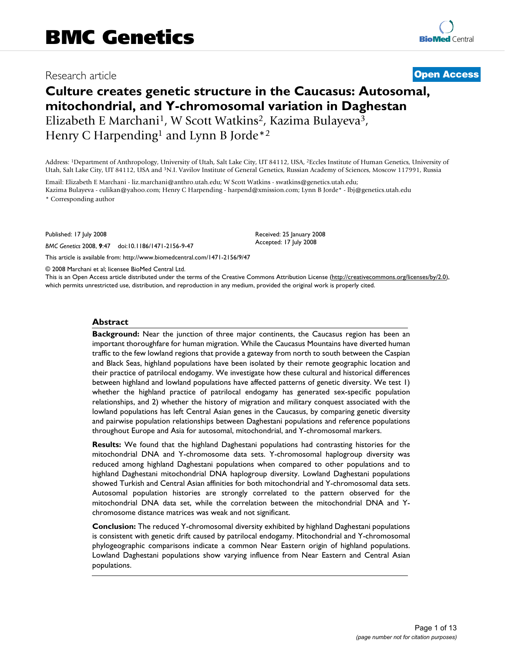## Research article **[Open Access](http://www.biomedcentral.com/info/about/charter/)**

# **Culture creates genetic structure in the Caucasus: Autosomal, mitochondrial, and Y-chromosomal variation in Daghestan** Elizabeth E Marchani1, W Scott Watkins2, Kazima Bulayeva3, Henry C Harpending<sup>1</sup> and Lynn B Jorde\*<sup>2</sup>

Address: 1Department of Anthropology, University of Utah, Salt Lake City, UT 84112, USA, 2Eccles Institute of Human Genetics, University of Utah, Salt Lake City, UT 84112, USA and 3N.I. Vavilov Institute of General Genetics, Russian Academy of Sciences, Moscow 117991, Russia

Email: Elizabeth E Marchani - liz.marchani@anthro.utah.edu; W Scott Watkins - swatkins@genetics.utah.edu; Kazima Bulayeva - culikan@yahoo.com; Henry C Harpending - harpend@xmission.com; Lynn B Jorde\* - lbj@genetics.utah.edu \* Corresponding author

Published: 17 July 2008

*BMC Genetics* 2008, **9**:47 doi:10.1186/1471-2156-9-47

[This article is available from: http://www.biomedcentral.com/1471-2156/9/47](http://www.biomedcentral.com/1471-2156/9/47)

© 2008 Marchani et al; licensee BioMed Central Ltd.

This is an Open Access article distributed under the terms of the Creative Commons Attribution License [\(http://creativecommons.org/licenses/by/2.0\)](http://creativecommons.org/licenses/by/2.0), which permits unrestricted use, distribution, and reproduction in any medium, provided the original work is properly cited.

Received: 25 January 2008 Accepted: 17 July 2008

#### **Abstract**

**Background:** Near the junction of three major continents, the Caucasus region has been an important thoroughfare for human migration. While the Caucasus Mountains have diverted human traffic to the few lowland regions that provide a gateway from north to south between the Caspian and Black Seas, highland populations have been isolated by their remote geographic location and their practice of patrilocal endogamy. We investigate how these cultural and historical differences between highland and lowland populations have affected patterns of genetic diversity. We test 1) whether the highland practice of patrilocal endogamy has generated sex-specific population relationships, and 2) whether the history of migration and military conquest associated with the lowland populations has left Central Asian genes in the Caucasus, by comparing genetic diversity and pairwise population relationships between Daghestani populations and reference populations throughout Europe and Asia for autosomal, mitochondrial, and Y-chromosomal markers.

**Results:** We found that the highland Daghestani populations had contrasting histories for the mitochondrial DNA and Y-chromosome data sets. Y-chromosomal haplogroup diversity was reduced among highland Daghestani populations when compared to other populations and to highland Daghestani mitochondrial DNA haplogroup diversity. Lowland Daghestani populations showed Turkish and Central Asian affinities for both mitochondrial and Y-chromosomal data sets. Autosomal population histories are strongly correlated to the pattern observed for the mitochondrial DNA data set, while the correlation between the mitochondrial DNA and Ychromosome distance matrices was weak and not significant.

**Conclusion:** The reduced Y-chromosomal diversity exhibited by highland Daghestani populations is consistent with genetic drift caused by patrilocal endogamy. Mitochondrial and Y-chromosomal phylogeographic comparisons indicate a common Near Eastern origin of highland populations. Lowland Daghestani populations show varying influence from Near Eastern and Central Asian populations.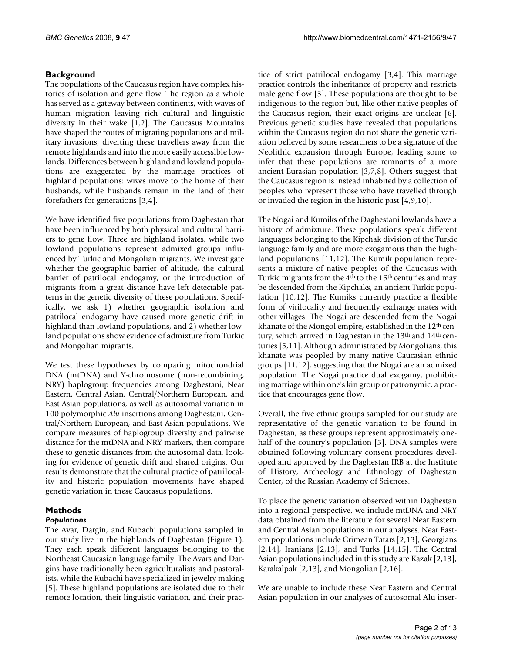### **Background**

The populations of the Caucasus region have complex histories of isolation and gene flow. The region as a whole has served as a gateway between continents, with waves of human migration leaving rich cultural and linguistic diversity in their wake [1,2]. The Caucasus Mountains have shaped the routes of migrating populations and military invasions, diverting these travellers away from the remote highlands and into the more easily accessible lowlands. Differences between highland and lowland populations are exaggerated by the marriage practices of highland populations: wives move to the home of their husbands, while husbands remain in the land of their forefathers for generations [3,4].

We have identified five populations from Daghestan that have been influenced by both physical and cultural barriers to gene flow. Three are highland isolates, while two lowland populations represent admixed groups influenced by Turkic and Mongolian migrants. We investigate whether the geographic barrier of altitude, the cultural barrier of patrilocal endogamy, or the introduction of migrants from a great distance have left detectable patterns in the genetic diversity of these populations. Specifically, we ask 1) whether geographic isolation and patrilocal endogamy have caused more genetic drift in highland than lowland populations, and 2) whether lowland populations show evidence of admixture from Turkic and Mongolian migrants.

We test these hypotheses by comparing mitochondrial DNA (mtDNA) and Y-chromosome (non-recombining, NRY) haplogroup frequencies among Daghestani, Near Eastern, Central Asian, Central/Northern European, and East Asian populations, as well as autosomal variation in 100 polymorphic *Alu* insertions among Daghestani, Central/Northern European, and East Asian populations. We compare measures of haplogroup diversity and pairwise distance for the mtDNA and NRY markers, then compare these to genetic distances from the autosomal data, looking for evidence of genetic drift and shared origins. Our results demonstrate that the cultural practice of patrilocality and historic population movements have shaped genetic variation in these Caucasus populations.

### **Methods**

#### *Populations*

The Avar, Dargin, and Kubachi populations sampled in our study live in the highlands of Daghestan (Figure 1). They each speak different languages belonging to the Northeast Caucasian language family. The Avars and Dargins have traditionally been agriculturalists and pastoralists, while the Kubachi have specialized in jewelry making [5]. These highland populations are isolated due to their remote location, their linguistic variation, and their practice of strict patrilocal endogamy [3,4]. This marriage practice controls the inheritance of property and restricts male gene flow [3]. These populations are thought to be indigenous to the region but, like other native peoples of the Caucasus region, their exact origins are unclear [6]. Previous genetic studies have revealed that populations within the Caucasus region do not share the genetic variation believed by some researchers to be a signature of the Neolithic expansion through Europe, leading some to infer that these populations are remnants of a more ancient Eurasian population [3,7,8]. Others suggest that the Caucasus region is instead inhabited by a collection of peoples who represent those who have travelled through or invaded the region in the historic past [4,9,10].

The Nogai and Kumiks of the Daghestani lowlands have a history of admixture. These populations speak different languages belonging to the Kipchak division of the Turkic language family and are more exogamous than the highland populations [11,12]. The Kumik population represents a mixture of native peoples of the Caucasus with Turkic migrants from the 4<sup>th</sup> to the 15<sup>th</sup> centuries and may be descended from the Kipchaks, an ancient Turkic population [10,12]. The Kumiks currently practice a flexible form of virilocality and frequently exchange mates with other villages. The Nogai are descended from the Nogai khanate of the Mongol empire, established in the 12<sup>th</sup> century, which arrived in Daghestan in the 13<sup>th</sup> and 14<sup>th</sup> centuries [5,11]. Although administrated by Mongolians, this khanate was peopled by many native Caucasian ethnic groups [11,12], suggesting that the Nogai are an admixed population. The Nogai practice dual exogamy, prohibiting marriage within one's kin group or patronymic, a practice that encourages gene flow.

Overall, the five ethnic groups sampled for our study are representative of the genetic variation to be found in Daghestan, as these groups represent approximately onehalf of the country's population [3]. DNA samples were obtained following voluntary consent procedures developed and approved by the Daghestan IRB at the Institute of History, Archeology and Ethnology of Daghestan Center, of the Russian Academy of Sciences.

To place the genetic variation observed within Daghestan into a regional perspective, we include mtDNA and NRY data obtained from the literature for several Near Eastern and Central Asian populations in our analyses. Near Eastern populations include Crimean Tatars [2,13], Georgians  $[2,14]$ , Iranians  $[2,13]$ , and Turks  $[14,15]$ . The Central Asian populations included in this study are Kazak [2,13], Karakalpak [2,13], and Mongolian [2,16].

We are unable to include these Near Eastern and Central Asian population in our analyses of autosomal Alu inser-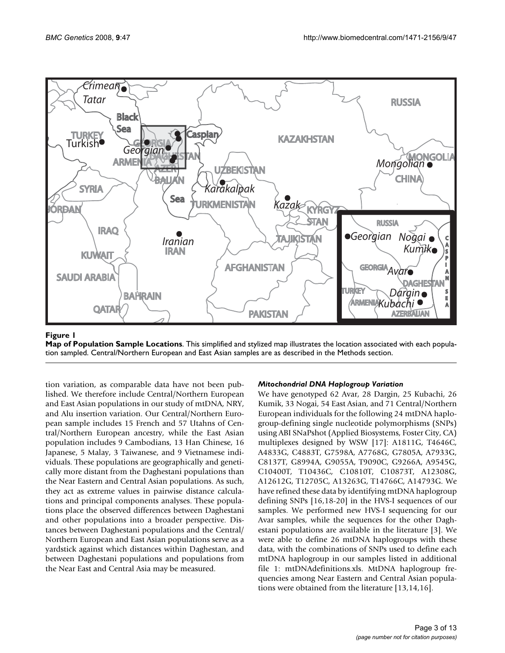

#### **Figure 1**

**Map of Population Sample Locations**. This simplified and stylized map illustrates the location associated with each population sampled. Central/Northern European and East Asian samples are as described in the Methods section.

tion variation, as comparable data have not been published. We therefore include Central/Northern European and East Asian populations in our study of mtDNA, NRY, and Alu insertion variation. Our Central/Northern European sample includes 15 French and 57 Utahns of Central/Northern European ancestry, while the East Asian population includes 9 Cambodians, 13 Han Chinese, 16 Japanese, 5 Malay, 3 Taiwanese, and 9 Vietnamese individuals. These populations are geographically and genetically more distant from the Daghestani populations than the Near Eastern and Central Asian populations. As such, they act as extreme values in pairwise distance calculations and principal components analyses. These populations place the observed differences between Daghestani and other populations into a broader perspective. Distances between Daghestani populations and the Central/ Northern European and East Asian populations serve as a yardstick against which distances within Daghestan, and between Daghestani populations and populations from the Near East and Central Asia may be measured.

#### *Mitochondrial DNA Haplogroup Variation*

We have genotyped 62 Avar, 28 Dargin, 25 Kubachi, 26 Kumik, 33 Nogai, 54 East Asian, and 71 Central/Northern European individuals for the following 24 mtDNA haplogroup-defining single nucleotide polymorphisms (SNPs) using ABI SNaPshot (Applied Biosystems, Foster City, CA) multiplexes designed by WSW [17]: A1811G, T4646C, A4833G, C4883T, G7598A, A7768G, G7805A, A7933G, C8137T, G8994A, G9055A, T9090C, G9266A, A9545G, C10400T, T10436C, C10810T, C10873T, A12308G, A12612G, T12705C, A13263G, T14766C, A14793G. We have refined these data by identifying mtDNA haplogroup defining SNPs [16,18-20] in the HVS-I sequences of our samples. We performed new HVS-I sequencing for our Avar samples, while the sequences for the other Daghestani populations are available in the literature [3]. We were able to define 26 mtDNA haplogroups with these data, with the combinations of SNPs used to define each mtDNA haplogroup in our samples listed in additional file 1: mtDNAdefinitions.xls. MtDNA haplogroup frequencies among Near Eastern and Central Asian populations were obtained from the literature [13,14,16].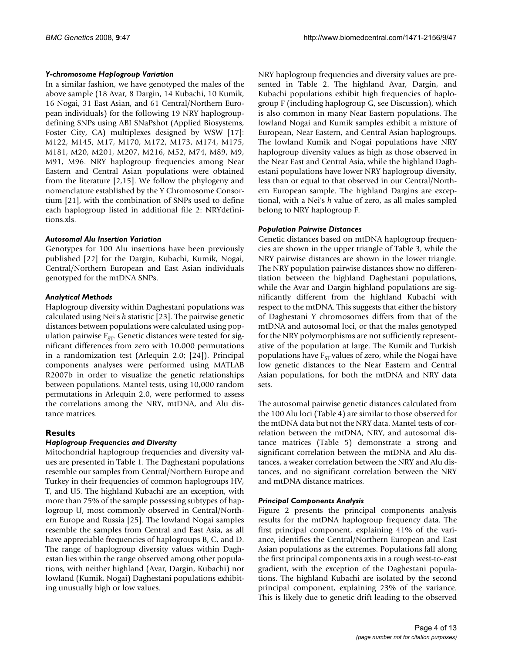#### *Y-chromosome Haplogroup Variation*

In a similar fashion, we have genotyped the males of the above sample (18 Avar, 8 Dargin, 14 Kubachi, 10 Kumik, 16 Nogai, 31 East Asian, and 61 Central/Northern European individuals) for the following 19 NRY haplogroupdefining SNPs using ABI SNaPshot (Applied Biosystems, Foster City, CA) multiplexes designed by WSW [17]: M122, M145, M17, M170, M172, M173, M174, M175, M181, M20, M201, M207, M216, M52, M74, M89, M9, M91, M96. NRY haplogroup frequencies among Near Eastern and Central Asian populations were obtained from the literature [2,15]. We follow the phylogeny and nomenclature established by the Y Chromosome Consortium [21], with the combination of SNPs used to define each haplogroup listed in additional file 2: NRYdefinitions.xls.

#### *Autosomal Alu Insertion Variation*

Genotypes for 100 Alu insertions have been previously published [22] for the Dargin, Kubachi, Kumik, Nogai, Central/Northern European and East Asian individuals genotyped for the mtDNA SNPs.

#### *Analytical Methods*

Haplogroup diversity within Daghestani populations was calculated using Nei's *h* statistic [23]. The pairwise genetic distances between populations were calculated using population pairwise  $F_{ST}$ . Genetic distances were tested for significant differences from zero with 10,000 permutations in a randomization test (Arlequin 2.0; [24]). Principal components analyses were performed using MATLAB R2007b in order to visualize the genetic relationships between populations. Mantel tests, using 10,000 random permutations in Arlequin 2.0, were performed to assess the correlations among the NRY, mtDNA, and Alu distance matrices.

#### **Results**

#### *Haplogroup Frequencies and Diversity*

Mitochondrial haplogroup frequencies and diversity values are presented in Table 1. The Daghestani populations resemble our samples from Central/Northern Europe and Turkey in their frequencies of common haplogroups HV, T, and U5. The highland Kubachi are an exception, with more than 75% of the sample possessing subtypes of haplogroup U, most commonly observed in Central/Northern Europe and Russia [25]. The lowland Nogai samples resemble the samples from Central and East Asia, as all have appreciable frequencies of haplogroups B, C, and D. The range of haplogroup diversity values within Daghestan lies within the range observed among other populations, with neither highland (Avar, Dargin, Kubachi) nor lowland (Kumik, Nogai) Daghestani populations exhibiting unusually high or low values.

NRY haplogroup frequencies and diversity values are presented in Table 2. The highland Avar, Dargin, and Kubachi populations exhibit high frequencies of haplogroup F (including haplogroup G, see Discussion), which is also common in many Near Eastern populations. The lowland Nogai and Kumik samples exhibit a mixture of European, Near Eastern, and Central Asian haplogroups. The lowland Kumik and Nogai populations have NRY haplogroup diversity values as high as those observed in the Near East and Central Asia, while the highland Daghestani populations have lower NRY haplogroup diversity, less than or equal to that observed in our Central/Northern European sample. The highland Dargins are exceptional, with a Nei's *h* value of zero, as all males sampled belong to NRY haplogroup F.

#### *Population Pairwise Distances*

Genetic distances based on mtDNA haplogroup frequencies are shown in the upper triangle of Table 3, while the NRY pairwise distances are shown in the lower triangle. The NRY population pairwise distances show no differentiation between the highland Daghestani populations, while the Avar and Dargin highland populations are significantly different from the highland Kubachi with respect to the mtDNA. This suggests that either the history of Daghestani Y chromosomes differs from that of the mtDNA and autosomal loci, or that the males genotyped for the NRY polymorphisms are not sufficiently representative of the population at large. The Kumik and Turkish populations have  $F_{ST}$  values of zero, while the Nogai have low genetic distances to the Near Eastern and Central Asian populations, for both the mtDNA and NRY data sets.

The autosomal pairwise genetic distances calculated from the 100 Alu loci (Table 4) are similar to those observed for the mtDNA data but not the NRY data. Mantel tests of correlation between the mtDNA, NRY, and autosomal distance matrices (Table 5) demonstrate a strong and significant correlation between the mtDNA and Alu distances, a weaker correlation between the NRY and Alu distances, and no significant correlation between the NRY and mtDNA distance matrices.

#### *Principal Components Analysis*

Figure 2 presents the principal components analysis results for the mtDNA haplogroup frequency data. The first principal component, explaining 41% of the variance, identifies the Central/Northern European and East Asian populations as the extremes. Populations fall along the first principal components axis in a rough west-to-east gradient, with the exception of the Daghestani populations. The highland Kubachi are isolated by the second principal component, explaining 23% of the variance. This is likely due to genetic drift leading to the observed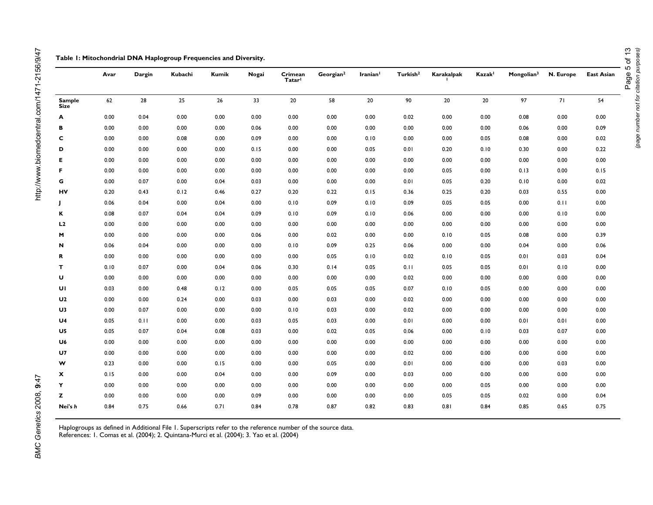|                              | Avar   | Dargin | Kubachi | <b>Kumik</b> | Nogai | Crimean<br>Tatar <sup>l</sup> | Georgian <sup>2</sup> | Iranian <sup>1</sup> | Turkish <sup>2</sup> | Karakalpak | Kazak <sup>1</sup> | Mongolian <sup>3</sup> | N. Europe | <b>East Asian</b> |
|------------------------------|--------|--------|---------|--------------|-------|-------------------------------|-----------------------|----------------------|----------------------|------------|--------------------|------------------------|-----------|-------------------|
| <b>Sample</b><br><b>Size</b> | $62\,$ | 28     | 25      | 26           | 33    | 20                            | 58                    | 20                   | 90                   | 20         | 20                 | 97                     | 71        | 54                |
| А                            | 0.00   | 0.04   | 0.00    | 0.00         | 0.00  | 0.00                          | 0.00                  | 0.00                 | 0.02                 | 0.00       | 0.00               | 0.08                   | 0.00      | 0.00              |
| в                            | 0.00   | 0.00   | 0.00    | 0.00         | 0.06  | 0.00                          | 0.00                  | 0.00                 | 0.00                 | 0.00       | 0.00               | 0.06                   | 0.00      | 0.09              |
| c                            | 0.00   | 0.00   | 0.08    | 0.00         | 0.09  | 0.00                          | 0.00                  | 0.10                 | 0.00                 | 0.00       | 0.05               | 0.08                   | 0.00      | 0.02              |
| D                            | 0.00   | 0.00   | 0.00    | 0.00         | 0.15  | 0.00                          | 0.00                  | 0.05                 | 0.01                 | 0.20       | 0.10               | 0.30                   | 0.00      | 0.22              |
| Е                            | 0.00   | 0.00   | 0.00    | 0.00         | 0.00  | 0.00                          | 0.00                  | 0.00                 | 0.00                 | 0.00       | 0.00               | 0.00                   | 0.00      | 0.00              |
| F.                           | 0.00   | 0.00   | 0.00    | 0.00         | 0.00  | 0.00                          | 0.00                  | 0.00                 | 0.00                 | 0.05       | 0.00               | 0.13                   | 0.00      | 0.15              |
| G                            | 0.00   | 0.07   | 0.00    | 0.04         | 0.03  | 0.00                          | 0.00                  | 0.00                 | 0.01                 | 0.05       | 0.20               | 0.10                   | 0.00      | 0.02              |
| HV                           | 0.20   | 0.43   | 0.12    | 0.46         | 0.27  | 0.20                          | 0.22                  | 0.15                 | 0.36                 | 0.25       | 0.20               | 0.03                   | 0.55      | 0.00              |
| $\mathbf{J}$                 | 0.06   | 0.04   | 0.00    | 0.04         | 0.00  | 0.10                          | 0.09                  | 0.10                 | 0.09                 | 0.05       | 0.05               | 0.00                   | 0.11      | 0.00              |
| ĸ                            | 0.08   | 0.07   | 0.04    | 0.04         | 0.09  | 0.10                          | 0.09                  | 0.10                 | 0.06                 | 0.00       | 0.00               | 0.00                   | 0.10      | 0.00              |
| L <sub>2</sub>               | 0.00   | 0.00   | 0.00    | 0.00         | 0.00  | 0.00                          | 0.00                  | 0.00                 | 0.00                 | 0.00       | 0.00               | 0.00                   | 0.00      | 0.00              |
| M                            | 0.00   | 0.00   | 0.00    | 0.00         | 0.06  | 0.00                          | 0.02                  | 0.00                 | 0.00                 | 0.10       | 0.05               | 0.08                   | 0.00      | 0.39              |
| N                            | 0.06   | 0.04   | 0.00    | 0.00         | 0.00  | 0.10                          | 0.09                  | 0.25                 | 0.06                 | 0.00       | 0.00               | 0.04                   | 0.00      | 0.06              |
| R                            | 0.00   | 0.00   | 0.00    | 0.00         | 0.00  | 0.00                          | 0.05                  | 0.10                 | 0.02                 | 0.10       | 0.05               | 0.01                   | 0.03      | 0.04              |
| T                            | 0.10   | 0.07   | 0.00    | 0.04         | 0.06  | 0.30                          | 0.14                  | 0.05                 | 0.11                 | 0.05       | 0.05               | 0.01                   | 0.10      | 0.00              |
| U                            | 0.00   | 0.00   | 0.00    | 0.00         | 0.00  | 0.00                          | 0.00                  | 0.00                 | 0.02                 | 0.00       | 0.00               | 0.00                   | 0.00      | 0.00              |
| UI                           | 0.03   | 0.00   | 0.48    | 0.12         | 0.00  | 0.05                          | 0.05                  | 0.05                 | 0.07                 | 0.10       | 0.05               | 0.00                   | 0.00      | 0.00              |
| U <sub>2</sub>               | 0.00   | 0.00   | 0.24    | 0.00         | 0.03  | 0.00                          | 0.03                  | 0.00                 | 0.02                 | 0.00       | 0.00               | 0.00                   | 0.00      | 0.00              |
| U3                           | 0.00   | 0.07   | 0.00    | 0.00         | 0.00  | 0.10                          | 0.03                  | 0.00                 | 0.02                 | 0.00       | 0.00               | 0.00                   | 0.00      | 0.00              |
| U4                           | 0.05   | 0.11   | 0.00    | 0.00         | 0.03  | 0.05                          | 0.03                  | 0.00                 | 0.01                 | 0.00       | 0.00               | 0.01                   | 0.01      | 0.00              |
| U5                           | 0.05   | 0.07   | 0.04    | 0.08         | 0.03  | 0.00                          | 0.02                  | 0.05                 | 0.06                 | 0.00       | 0.10               | 0.03                   | 0.07      | 0.00              |
| U6                           | 0.00   | 0.00   | 0.00    | 0.00         | 0.00  | 0.00                          | 0.00                  | 0.00                 | 0.00                 | 0.00       | 0.00               | 0.00                   | 0.00      | 0.00              |
| U7                           | 0.00   | 0.00   | 0.00    | 0.00         | 0.00  | 0.00                          | 0.00                  | 0.00                 | 0.02                 | 0.00       | 0.00               | 0.00                   | 0.00      | 0.00              |
| W                            | 0.23   | 0.00   | 0.00    | 0.15         | 0.00  | 0.00                          | 0.05                  | 0.00                 | 0.01                 | 0.00       | 0.00               | 0.00                   | 0.03      | 0.00              |
| x                            | 0.15   | 0.00   | 0.00    | 0.04         | 0.00  | 0.00                          | 0.09                  | 0.00                 | 0.03                 | 0.00       | 0.00               | 0.00                   | 0.00      | 0.00              |
| Y                            | 0.00   | 0.00   | 0.00    | 0.00         | 0.00  | 0.00                          | 0.00                  | 0.00                 | 0.00                 | 0.00       | 0.05               | 0.00                   | 0.00      | 0.00              |
| z                            | 0.00   | 0.00   | 0.00    | 0.00         | 0.09  | 0.00                          | 0.00                  | 0.00                 | 0.00                 | 0.05       | 0.05               | 0.02                   | 0.00      | 0.04              |
| Nei's h                      | 0.84   | 0.75   | 0.66    | 0.71         | 0.84  | 0.78                          | 0.87                  | 0.82                 | 0.83                 | 0.81       | 0.84               | 0.85                   | 0.65      | 0.75              |

Haplogroups as defined in Additional File 1. Superscripts refer to the reference number of the source data.

References: 1. Comas et al. (2004); 2. Quintana-Murci et al. (2004); 3. Yao et al. (2004)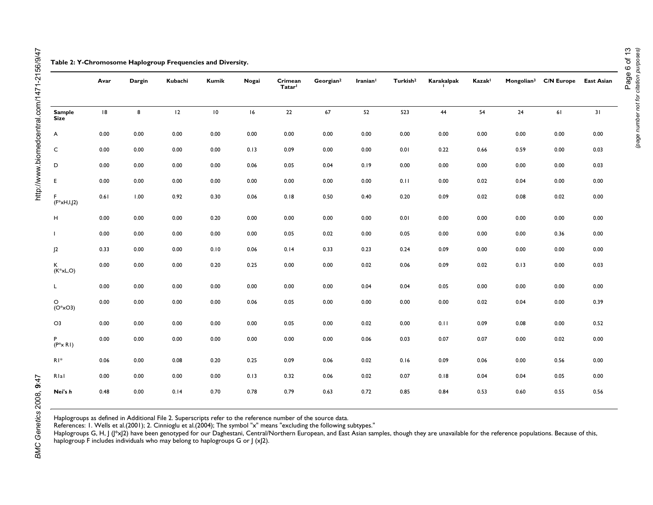#### **Table 2: Y-Chromosome Haplogroup Frequencies and Diversity.**

|                        | Avar | Dargin | Kubachi | <b>Kumik</b>    | Nogai | Crimean<br>Tatar <sup>1</sup> | Georgian <sup>2</sup> | Iranian <sup>1</sup> | Turkish <sup>2</sup> | Karakalpak | <b>Kazak</b> <sup>1</sup> | Mongolian <sup>3</sup> | <b>C/N Europe</b> | <b>East Asian</b> |
|------------------------|------|--------|---------|-----------------|-------|-------------------------------|-----------------------|----------------------|----------------------|------------|---------------------------|------------------------|-------------------|-------------------|
| Sample<br>Size         | 8    | 8      | 12      | $\overline{10}$ | 16    | 22                            | 67                    | 52                   | 523                  | 44         | 54                        | 24                     | 61                | 31                |
| A                      | 0.00 | 0.00   | 0.00    | 0.00            | 0.00  | 0.00                          | 0.00                  | 0.00                 | 0.00                 | 0.00       | 0.00                      | 0.00                   | 0.00              | 0.00              |
| C                      | 0.00 | 0.00   | 0.00    | 0.00            | 0.13  | 0.09                          | 0.00                  | 0.00                 | 0.01                 | 0.22       | 0.66                      | 0.59                   | 0.00              | 0.03              |
| D                      | 0.00 | 0.00   | 0.00    | 0.00            | 0.06  | 0.05                          | 0.04                  | 0.19                 | 0.00                 | 0.00       | 0.00                      | 0.00                   | 0.00              | 0.03              |
| E                      | 0.00 | 0.00   | 0.00    | 0.00            | 0.00  | 0.00                          | 0.00                  | 0.00                 | 0.11                 | 0.00       | 0.02                      | 0.04                   | 0.00              | 0.00              |
| F.<br>$(F^*xH,I,J2)$   | 0.61 | 1.00   | 0.92    | 0.30            | 0.06  | 0.18                          | 0.50                  | 0.40                 | 0.20                 | 0.09       | 0.02                      | 0.08                   | 0.02              | 0.00              |
| н                      | 0.00 | 0.00   | 0.00    | 0.20            | 0.00  | 0.00                          | 0.00                  | 0.00                 | 0.01                 | 0.00       | 0.00                      | 0.00                   | 0.00              | 0.00              |
|                        | 0.00 | 0.00   | 0.00    | 0.00            | 0.00  | 0.05                          | 0.02                  | 0.00                 | 0.05                 | 0.00       | 0.00                      | 0.00                   | 0.36              | 0.00              |
| J <sub>2</sub>         | 0.33 | 0.00   | 0.00    | 0.10            | 0.06  | 0.14                          | 0.33                  | 0.23                 | 0.24                 | 0.09       | 0.00                      | 0.00                   | 0.00              | 0.00              |
| Κ<br>$(K^*xL, O)$      | 0.00 | 0.00   | 0.00    | 0.20            | 0.25  | 0.00                          | 0.00                  | 0.02                 | 0.06                 | 0.09       | 0.02                      | 0.13                   | 0.00              | 0.03              |
| L                      | 0.00 | 0.00   | 0.00    | 0.00            | 0.00  | 0.00                          | 0.00                  | 0.04                 | 0.04                 | 0.05       | 0.00                      | 0.00                   | 0.00              | 0.00              |
| $\circ$<br>$(O*xO3)$   | 0.00 | 0.00   | 0.00    | 0.00            | 0.06  | 0.05                          | 0.00                  | 0.00                 | 0.00                 | 0.00       | 0.02                      | 0.04                   | 0.00              | 0.39              |
| O <sub>3</sub>         | 0.00 | 0.00   | 0.00    | 0.00            | 0.00  | 0.05                          | 0.00                  | 0.02                 | 0.00                 | 0.11       | 0.09                      | 0.08                   | 0.00              | 0.52              |
| P.<br>$(P^* \times R)$ | 0.00 | 0.00   | 0.00    | 0.00            | 0.00  | 0.00                          | 0.00                  | 0.06                 | 0.03                 | 0.07       | 0.07                      | 0.00                   | 0.02              | 0.00              |
| $R$ <sup>*</sup>       | 0.06 | 0.00   | 0.08    | 0.20            | 0.25  | 0.09                          | 0.06                  | 0.02                 | 0.16                 | 0.09       | 0.06                      | 0.00                   | 0.56              | 0.00              |
| Rlal                   | 0.00 | 0.00   | 0.00    | 0.00            | 0.13  | 0.32                          | 0.06                  | 0.02                 | 0.07                 | 0.18       | 0.04                      | 0.04                   | 0.05              | 0.00              |
| Nei's h                | 0.48 | 0.00   | 0.14    | 0.70            | 0.78  | 0.79                          | 0.63                  | 0.72                 | 0.85                 | 0.84       | 0.53                      | 0.60                   | 0.55              | 0.56              |

Haplogroups as defined in Additional File 2. Superscripts refer to the reference number of the source data.

References: 1. Wells et al.(2001); 2. Cinnioglu et al.(2004); The symbol "x" means "excluding the following subtypes."

Haplogroups G, H, J (J\*xJ2) have been genotyped for our Daghestani, Central/Northern European, and East Asian samples, though they are unavailable for the reference populations. Because of this, haplogroup F includes individuals who may belong to haplogroups G or J (xJ2).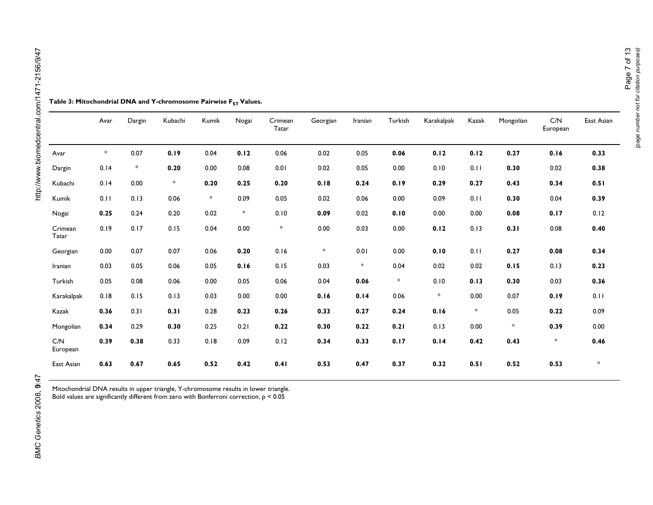|                  | Avar   | Dargin | Kubachi | Kumik  | Nogai  | Crimean<br>Tatar | Georgian | Iranian | Turkish | Karakalpak | Kazak  | Mongolian | C/N<br>European | East Asian |
|------------------|--------|--------|---------|--------|--------|------------------|----------|---------|---------|------------|--------|-----------|-----------------|------------|
| Avar             | $\ast$ | 0.07   | 0.19    | 0.04   | 0.12   | 0.06             | 0.02     | 0.05    | 0.06    | 0.12       | 0.12   | 0.27      | 0.16            | 0.33       |
| Dargin           | 0.14   | $\ast$ | 0.20    | 0.00   | 0.08   | 0.01             | 0.02     | 0.05    | 0.00    | 0.10       | 0.11   | 0.30      | 0.02            | 0.38       |
| Kubachi          | 0.14   | 0.00   | $\ast$  | 0.20   | 0.25   | 0.20             | 0.18     | 0.24    | 0.19    | 0.29       | 0.27   | 0.43      | 0.34            | 0.51       |
| Kumik            | 0.11   | 0.13   | 0.06    | $\ast$ | 0.09   | 0.05             | 0.02     | 0.06    | 0.00    | 0.09       | 0.11   | 0.30      | 0.04            | 0.39       |
| Nogai            | 0.25   | 0.24   | 0.20    | 0.02   | $\ast$ | 0.10             | 0.09     | 0.02    | 0.10    | 0.00       | 0.00   | 0.08      | 0.17            | 0.12       |
| Crimean<br>Tatar | 0.19   | 0.17   | 0.15    | 0.04   | 0.00   | $\ast$           | 0.00     | 0.03    | 0.00    | 0.12       | 0.13   | 0.31      | 0.08            | 0.40       |
| Georgian         | 0.00   | 0.07   | 0.07    | 0.06   | 0.20   | 0.16             | $\ast$   | 0.01    | 0.00    | 0.10       | 0.11   | 0.27      | 0.08            | 0.34       |
| Iranian          | 0.03   | 0.05   | 0.06    | 0.05   | 0.16   | 0.15             | 0.03     | *.      | 0.04    | 0.02       | 0.02   | 0.15      | 0.13            | 0.23       |
| Turkish          | 0.05   | 0.08   | 0.06    | 0.00   | 0.05   | 0.06             | 0.04     | 0.06    | $\ast$  | 0.10       | 0.13   | 0.30      | 0.03            | 0.36       |
| Karakalpak       | 0.18   | 0.15   | 0.13    | 0.03   | 0.00   | 0.00             | 0.16     | 0.14    | 0.06    | $\ast$     | 0.00   | 0.07      | 0.19            | 0.11       |
| Kazak            | 0.36   | 0.31   | 0.31    | 0.28   | 0.23   | 0.26             | 0.33     | 0.27    | 0.24    | 0.16       | $\ast$ | 0.05      | 0.22            | 0.09       |
| Mongolian        | 0.34   | 0.29   | 0.30    | 0.25   | 0.21   | 0.22             | 0.30     | 0.22    | 0.21    | 0.13       | 0.00   | $\ast$    | 0.39            | 0.00       |
| C/N<br>European  | 0.39   | 0.38   | 0.33    | 0.18   | 0.09   | 0.12             | 0.34     | 0.33    | 0.17    | 0.14       | 0.42   | 0.43      | $\ast$          | 0.46       |
| East Asian       | 0.63   | 0.67   | 0.65    | 0.52   | 0.42   | 0.41             | 0.53     | 0.47    | 0.37    | 0.32       | 0.51   | 0.52      | 0.53            | $\ast$     |

Mitochondrial DNA results in upper triangle, Y-chromosome results in lower triangle.

Bold values are significantly different from zero with Bonferroni correction, p < 0.05

Table 3: Mitochondrial DNA and Y-chromosome Pairwise F<sub>ST</sub> Values.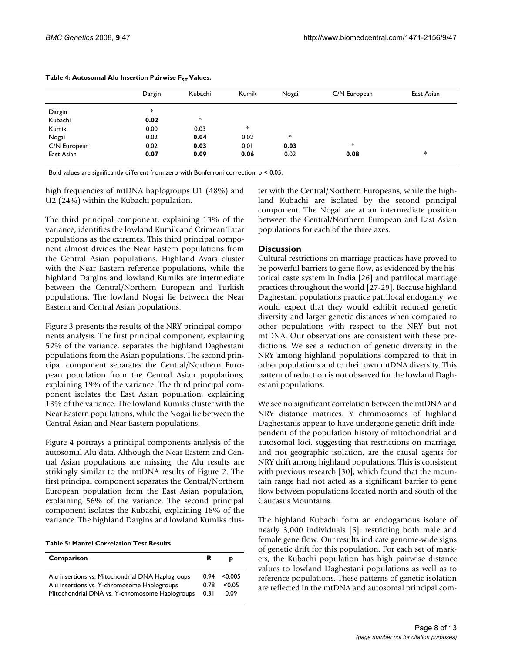|              | Dargin | Kubachi | Kumik | Nogai | C/N European | East Asian |
|--------------|--------|---------|-------|-------|--------------|------------|
| Dargin       | $*$    |         |       |       |              |            |
| Kubachi      | 0.02   | $*$     |       |       |              |            |
| Kumik        | 0.00   | 0.03    | $*$   |       |              |            |
| Nogai        | 0.02   | 0.04    | 0.02  | *     |              |            |
| C/N European | 0.02   | 0.03    | 0.01  | 0.03  | $*$          |            |
| East Asian   | 0.07   | 0.09    | 0.06  | 0.02  | 0.08         | *          |

#### Table 4: Autosomal Alu Insertion Pairwise F<sub>ST</sub> Values.

Bold values are significantly different from zero with Bonferroni correction, p < 0.05.

high frequencies of mtDNA haplogroups U1 (48%) and U2 (24%) within the Kubachi population.

The third principal component, explaining 13% of the variance, identifies the lowland Kumik and Crimean Tatar populations as the extremes. This third principal component almost divides the Near Eastern populations from the Central Asian populations. Highland Avars cluster with the Near Eastern reference populations, while the highland Dargins and lowland Kumiks are intermediate between the Central/Northern European and Turkish populations. The lowland Nogai lie between the Near Eastern and Central Asian populations.

Figure 3 presents the results of the NRY principal components analysis. The first principal component, explaining 52% of the variance, separates the highland Daghestani populations from the Asian populations. The second principal component separates the Central/Northern European population from the Central Asian populations, explaining 19% of the variance. The third principal component isolates the East Asian population, explaining 13% of the variance. The lowland Kumiks cluster with the Near Eastern populations, while the Nogai lie between the Central Asian and Near Eastern populations.

Figure 4 portrays a principal components analysis of the autosomal Alu data. Although the Near Eastern and Central Asian populations are missing, the Alu results are strikingly similar to the mtDNA results of Figure 2. The first principal component separates the Central/Northern European population from the East Asian population, explaining 56% of the variance. The second principal component isolates the Kubachi, explaining 18% of the variance. The highland Dargins and lowland Kumiks clus-

| <b>Table 5: Mantel Correlation Test Results</b> |  |  |
|-------------------------------------------------|--|--|
|-------------------------------------------------|--|--|

| Comparison                                       | R    | D       |
|--------------------------------------------------|------|---------|
| Alu insertions vs. Mitochondrial DNA Haplogroups | 094  | < 0.005 |
| Alu insertions vs. Y-chromosome Haplogroups      | 0.78 | < 0.05  |
| Mitochondrial DNA vs. Y-chromosome Haplogroups   | 0.31 | 0.09    |

ter with the Central/Northern Europeans, while the highland Kubachi are isolated by the second principal component. The Nogai are at an intermediate position between the Central/Northern European and East Asian populations for each of the three axes.

#### **Discussion**

Cultural restrictions on marriage practices have proved to be powerful barriers to gene flow, as evidenced by the historical caste system in India [26] and patrilocal marriage practices throughout the world [27-29]. Because highland Daghestani populations practice patrilocal endogamy, we would expect that they would exhibit reduced genetic diversity and larger genetic distances when compared to other populations with respect to the NRY but not mtDNA. Our observations are consistent with these predictions. We see a reduction of genetic diversity in the NRY among highland populations compared to that in other populations and to their own mtDNA diversity. This pattern of reduction is not observed for the lowland Daghestani populations.

We see no significant correlation between the mtDNA and NRY distance matrices. Y chromosomes of highland Daghestanis appear to have undergone genetic drift independent of the population history of mitochondrial and autosomal loci, suggesting that restrictions on marriage, and not geographic isolation, are the causal agents for NRY drift among highland populations. This is consistent with previous research [30], which found that the mountain range had not acted as a significant barrier to gene flow between populations located north and south of the Caucasus Mountains.

The highland Kubachi form an endogamous isolate of nearly 3,000 individuals [5], restricting both male and female gene flow. Our results indicate genome-wide signs of genetic drift for this population. For each set of markers, the Kubachi population has high pairwise distance values to lowland Daghestani populations as well as to reference populations. These patterns of genetic isolation are reflected in the mtDNA and autosomal principal com-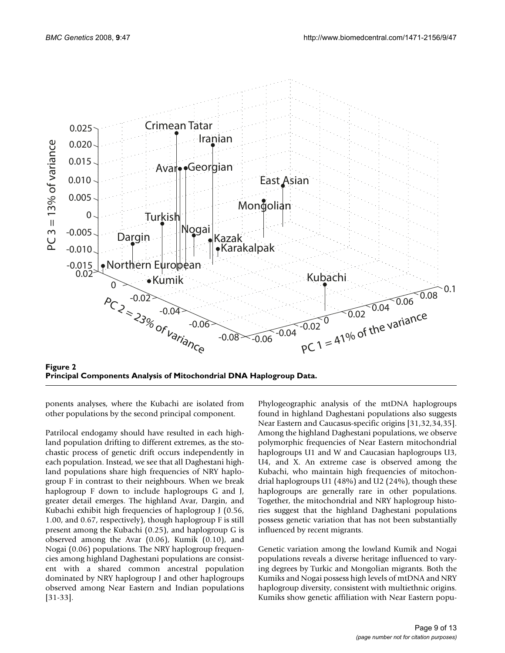

**Principal Components Analysis of Mitochondrial DNA Haplogroup Data.**

ponents analyses, where the Kubachi are isolated from other populations by the second principal component.

Patrilocal endogamy should have resulted in each highland population drifting to different extremes, as the stochastic process of genetic drift occurs independently in each population. Instead, we see that all Daghestani highland populations share high frequencies of NRY haplogroup F in contrast to their neighbours. When we break haplogroup F down to include haplogroups G and J, greater detail emerges. The highland Avar, Dargin, and Kubachi exhibit high frequencies of haplogroup J (0.56, 1.00, and 0.67, respectively), though haplogroup F is still present among the Kubachi (0.25), and haplogroup G is observed among the Avar (0.06), Kumik (0.10), and Nogai (0.06) populations. The NRY haplogroup frequencies among highland Daghestani populations are consistent with a shared common ancestral population dominated by NRY haplogroup J and other haplogroups observed among Near Eastern and Indian populations [31-33].

Phylogeographic analysis of the mtDNA haplogroups found in highland Daghestani populations also suggests Near Eastern and Caucasus-specific origins [31,32,34,35]. Among the highland Daghestani populations, we observe polymorphic frequencies of Near Eastern mitochondrial haplogroups U1 and W and Caucasian haplogroups U3, U4, and X. An extreme case is observed among the Kubachi, who maintain high frequencies of mitochondrial haplogroups U1 (48%) and U2 (24%), though these haplogroups are generally rare in other populations. Together, the mitochondrial and NRY haplogroup histories suggest that the highland Daghestani populations possess genetic variation that has not been substantially influenced by recent migrants.

Genetic variation among the lowland Kumik and Nogai populations reveals a diverse heritage influenced to varying degrees by Turkic and Mongolian migrants. Both the Kumiks and Nogai possess high levels of mtDNA and NRY haplogroup diversity, consistent with multiethnic origins. Kumiks show genetic affiliation with Near Eastern popu-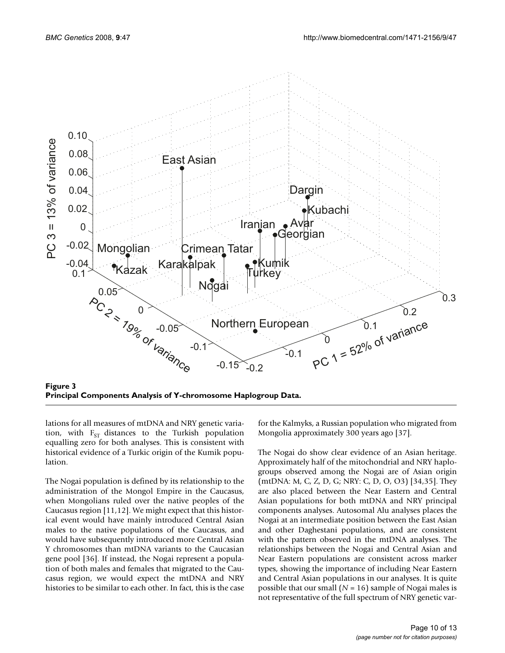

lations for all measures of mtDNA and NRY genetic variation, with  $F_{ST}$  distances to the Turkish population equalling zero for both analyses. This is consistent with historical evidence of a Turkic origin of the Kumik population.

The Nogai population is defined by its relationship to the administration of the Mongol Empire in the Caucasus, when Mongolians ruled over the native peoples of the Caucasus region [11,12]. We might expect that this historical event would have mainly introduced Central Asian males to the native populations of the Caucasus, and would have subsequently introduced more Central Asian Y chromosomes than mtDNA variants to the Caucasian gene pool [36]. If instead, the Nogai represent a population of both males and females that migrated to the Caucasus region, we would expect the mtDNA and NRY histories to be similar to each other. In fact, this is the case

for the Kalmyks, a Russian population who migrated from Mongolia approximately 300 years ago [37].

The Nogai do show clear evidence of an Asian heritage. Approximately half of the mitochondrial and NRY haplogroups observed among the Nogai are of Asian origin (mtDNA: M, C, Z, D, G; NRY: C, D, O, O3) [34,35]. They are also placed between the Near Eastern and Central Asian populations for both mtDNA and NRY principal components analyses. Autosomal Alu analyses places the Nogai at an intermediate position between the East Asian and other Daghestani populations, and are consistent with the pattern observed in the mtDNA analyses. The relationships between the Nogai and Central Asian and Near Eastern populations are consistent across marker types, showing the importance of including Near Eastern and Central Asian populations in our analyses. It is quite possible that our small (*N* = 16) sample of Nogai males is not representative of the full spectrum of NRY genetic var-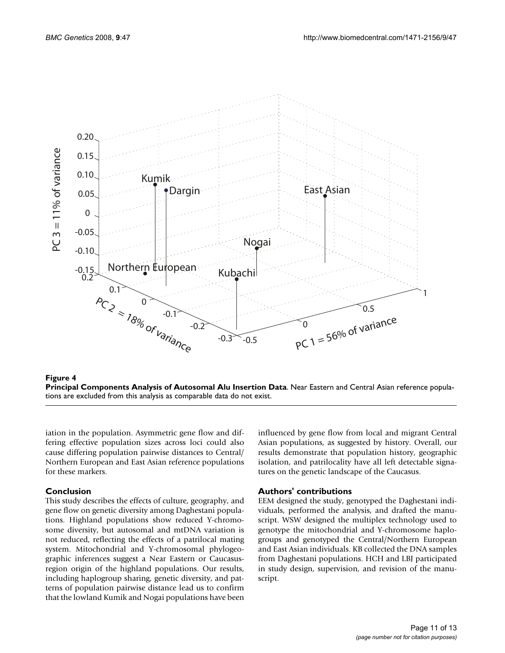

**Figure 4 Principal Components Analysis of Autosomal Alu Insertion Data**. Near Eastern and Central Asian reference populations are excluded from this analysis as comparable data do not exist.

iation in the population. Asymmetric gene flow and differing effective population sizes across loci could also cause differing population pairwise distances to Central/ Northern European and East Asian reference populations for these markers.

#### **Conclusion**

This study describes the effects of culture, geography, and gene flow on genetic diversity among Daghestani populations. Highland populations show reduced Y-chromosome diversity, but autosomal and mtDNA variation is not reduced, reflecting the effects of a patrilocal mating system. Mitochondrial and Y-chromosomal phylogeographic inferences suggest a Near Eastern or Caucasusregion origin of the highland populations. Our results, including haplogroup sharing, genetic diversity, and patterns of population pairwise distance lead us to confirm that the lowland Kumik and Nogai populations have been

influenced by gene flow from local and migrant Central Asian populations, as suggested by history. Overall, our results demonstrate that population history, geographic isolation, and patrilocality have all left detectable signatures on the genetic landscape of the Caucasus.

#### **Authors' contributions**

EEM designed the study, genotyped the Daghestani individuals, performed the analysis, and drafted the manuscript. WSW designed the multiplex technology used to genotype the mitochondrial and Y-chromosome haplogroups and genotyped the Central/Northern European and East Asian individuals. KB collected the DNA samples from Daghestani populations. HCH and LBJ participated in study design, supervision, and revision of the manuscript.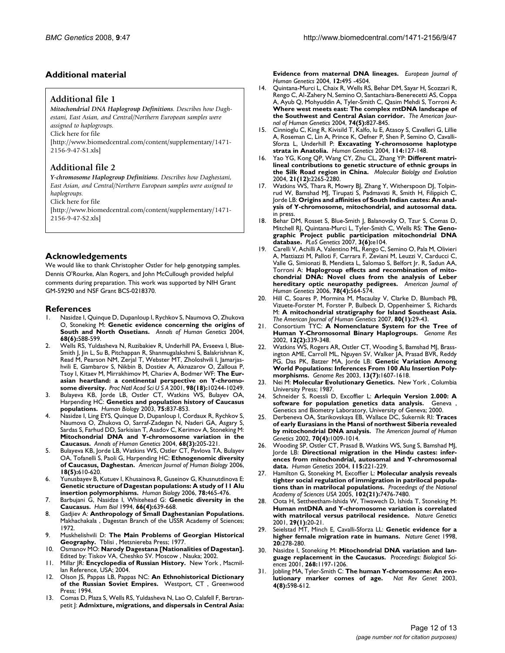#### **Additional material**

#### **Additional file 1**

*Mitochondrial DNA Haplogroup Definitions. Describes how Daghestani, East Asian, and Central/Northern European samples were assigned to haplogroups.*

Click here for file

[\[http://www.biomedcentral.com/content/supplementary/1471-](http://www.biomedcentral.com/content/supplementary/1471-2156-9-47-S1.xls) 2156-9-47-S1.xls]

#### **Additional file 2**

*Y-chromosome Haplogroup Definitions. Describes how Daghestani, East Asian, and Central/Northern European samples were assigned to haplogroups.*

Click here for file

[\[http://www.biomedcentral.com/content/supplementary/1471-](http://www.biomedcentral.com/content/supplementary/1471-2156-9-47-S2.xls) 2156-9-47-S2.xls]

#### **Acknowledgements**

We would like to thank Christopher Ostler for help genotyping samples. Dennis O'Rourke, Alan Rogers, and John McCullough provided helpful comments during preparation. This work was supported by NIH Grant GM-59290 and NSF Grant BCS-0218370.

#### **References**

- 1. Nasidze I, Quinque D, Dupanloup I, Rychkov S, Naumova O, Zhukova O, Stoneking M: **[Genetic evidence concerning the origins of](http://www.ncbi.nlm.nih.gov/entrez/query.fcgi?cmd=Retrieve&db=PubMed&dopt=Abstract&list_uids=15598217) [South and North Ossetians.](http://www.ncbi.nlm.nih.gov/entrez/query.fcgi?cmd=Retrieve&db=PubMed&dopt=Abstract&list_uids=15598217)** *Annals of Human Genetics* 2004, **68(6):**588-599.
- 2. Wells RS, Yuldasheva N, Ruzibakiev R, Underhill PA, Evseeva I, Blue-Smith J, Jin L, Su B, Pitchappan R, Shanmugalakshmi S, Balakrishnan K, Read M, Pearson NM, Zerjal T, Webster MT, Zholoshvili I, Jamarjashvili E, Gambarov S, Nikbin B, Dostiev A, Aknazarov O, Zalloua P, Tsoy I, Kitaev M, Mirrakhimov M, Chariev A, Bodmer WF: **[The Eur](http://www.ncbi.nlm.nih.gov/entrez/query.fcgi?cmd=Retrieve&db=PubMed&dopt=Abstract&list_uids=11526236)[asian heartland: a continental perspective on Y-chromo](http://www.ncbi.nlm.nih.gov/entrez/query.fcgi?cmd=Retrieve&db=PubMed&dopt=Abstract&list_uids=11526236)[some diversity.](http://www.ncbi.nlm.nih.gov/entrez/query.fcgi?cmd=Retrieve&db=PubMed&dopt=Abstract&list_uids=11526236)** *Proc Natl Acad Sci U S A* 2001, **98(18):**10244-10249.
- 3. Bulayeva KB, Jorde LB, Ostler CT, Watkins WS, Bulayev OA, Harpending HC: **Genetics and population history of Caucasus populations.** *Human Biology* 2003, **75:**837-853.
- 4. Nasidze I, Ling EYS, Quinque D, Dupanloup I, Cordaux R, Rychkov S, Naumova O, Zhukova O, Sarraf-Zadegan N, Naderi GA, Asgary S, Sardas S, Farhud DD, Sarkisian T, Asadov C, Kerimov A, Stoneking M: **[Mitochondrial DNA and Y-chromosome variation in the](http://www.ncbi.nlm.nih.gov/entrez/query.fcgi?cmd=Retrieve&db=PubMed&dopt=Abstract&list_uids=15180701) [Caucasus.](http://www.ncbi.nlm.nih.gov/entrez/query.fcgi?cmd=Retrieve&db=PubMed&dopt=Abstract&list_uids=15180701)** *Annals of Human Genetics* 2004, **68(3):**205-221.
- 5. Bulayeva KB, Jorde LB, Watkins WS, Ostler CT, Pavlova TA, Bulayev OA, Tofanelli S, Paoli G, Harpending HC: **[Ethnogenomic diversity](http://www.ncbi.nlm.nih.gov/entrez/query.fcgi?cmd=Retrieve&db=PubMed&dopt=Abstract&list_uids=16917895) [of Caucasus, Daghestan.](http://www.ncbi.nlm.nih.gov/entrez/query.fcgi?cmd=Retrieve&db=PubMed&dopt=Abstract&list_uids=16917895)** *American Journal of Human Biology* 2006, **18(5):**610-620.
- 6. Yunusbayev B, Kutuev I, Khusainova R, Guseinov G, Khusnutdinova E: **[Genetic structure of Dagestan populations: A study of 11 Alu](http://www.ncbi.nlm.nih.gov/entrez/query.fcgi?cmd=Retrieve&db=PubMed&dopt=Abstract&list_uids=17278621) [insertion polymorphisms.](http://www.ncbi.nlm.nih.gov/entrez/query.fcgi?cmd=Retrieve&db=PubMed&dopt=Abstract&list_uids=17278621)** *Human Biology* 2006, **78:**465-476.
- 7. Barbujani G, Nasidze I, Whitehead G: **[Genetic diversity in the](http://www.ncbi.nlm.nih.gov/entrez/query.fcgi?cmd=Retrieve&db=PubMed&dopt=Abstract&list_uids=8088752) [Caucasus.](http://www.ncbi.nlm.nih.gov/entrez/query.fcgi?cmd=Retrieve&db=PubMed&dopt=Abstract&list_uids=8088752)** *Hum Biol* 1994, **66(4):**639-668.
- 8. Gadjiev A: **Anthropology of Small Daghestanian Populations.** Makhachakala , Dagestan Branch of the USSR Academy of Sciences; 1972.
- 9. Muskhelishvili D: **The Main Problems of Georgian Historical Geography.** Tblisi , Metsniereba Press; 1977.
- 10. Osmanov MO: **Narody Dagestana [Nationalities of Dagestan].** Edited by: Tiskov VA, Cheshko SV. Moscow , Nauka; 2002.
- 11. Millar JR: **Encyclopedia of Russian History.** New York , Macmillan Reference, USA; 2004.
- 12. Olson JS, Pappas LB, Pappas NC: **An Ethnohistorical Dictionary of the Russian Soviet Empires.** Westport, CT , Greenwood Press; 1994.
- 13. Comas D, Plaza S, Wells RS, Yuldasheva N, Lao O, Calafell F, Bertranpetit J: **[Admixture, migrations, and dispersals in Central Asia:](http://www.ncbi.nlm.nih.gov/entrez/query.fcgi?cmd=Retrieve&db=PubMed&dopt=Abstract&list_uids=14872198)**

**[Evidence from maternal DNA lineages.](http://www.ncbi.nlm.nih.gov/entrez/query.fcgi?cmd=Retrieve&db=PubMed&dopt=Abstract&list_uids=14872198)** *European Journal of Human Genetics* 2004, **12:**495 -4504.

- 14. Quintana-Murci L, Chaix R, Wells RS, Behar DM, Sayar H, Scozzari R, Rengo C, Al-Zahery N, Semino O, Santachiara-Benerecetti AS, Coppa A, Ayub Q, Mohyuddin A, Tyler-Smith C, Qasim Mehdi S, Torroni A: **[Where west meets east: The complex mtDNA landscape of](http://www.ncbi.nlm.nih.gov/entrez/query.fcgi?cmd=Retrieve&db=PubMed&dopt=Abstract&list_uids=15077202) [the Southwest and Central Asian corridor.](http://www.ncbi.nlm.nih.gov/entrez/query.fcgi?cmd=Retrieve&db=PubMed&dopt=Abstract&list_uids=15077202)** *The American Journal of Human Genetics* 2004, **74(5):**827-845.
- 15. Cinnioglu C, King R, Kivisild T, Kalfo, lu E, Atasoy S, Cavalleri G, Lillie A, Roseman C, Lin A, Prince K, Oefner P, Shen P, Semino O, Cavalli-Sforza L, Underhill P: **[Excavating Y-chromosome haplotype](http://www.ncbi.nlm.nih.gov/entrez/query.fcgi?cmd=Retrieve&db=PubMed&dopt=Abstract&list_uids=14586639) [strata in Anatolia.](http://www.ncbi.nlm.nih.gov/entrez/query.fcgi?cmd=Retrieve&db=PubMed&dopt=Abstract&list_uids=14586639)** *Human Genetics* 2004, **114:**127-148.
- 16. Yao YG, Kong QP, Wang CY, Zhu CL, Zhang YP: **[Different matri](http://www.ncbi.nlm.nih.gov/entrez/query.fcgi?cmd=Retrieve&db=PubMed&dopt=Abstract&list_uids=15317881)[lineal contributions to genetic structure of ethnic groups in](http://www.ncbi.nlm.nih.gov/entrez/query.fcgi?cmd=Retrieve&db=PubMed&dopt=Abstract&list_uids=15317881) [the Silk Road region in China.](http://www.ncbi.nlm.nih.gov/entrez/query.fcgi?cmd=Retrieve&db=PubMed&dopt=Abstract&list_uids=15317881)** *Molecular Biololgy and Evolution* 2004, **21(12):**2265-2280.
- Watkins WS, Thara R, Mowry BJ, Zhang Y, Witherspoon DJ, Tolpinrud W, Bamshad MJ, Tirupati S, Padmavati R, Smith H, Filippich C, Jorde LB: **Origins and affinities of South Indian castes: An analysis of Y-chromosome, mitochondrial, and autosomal data.** in press.
- 18. Behar DM, Rosset S, Blue-Smith J, Balanovsky O, Tzur S, Comas D, Mitchell RJ, Quintana-Murci L, Tyler-Smith C, Wells RS: **[The Geno](http://www.ncbi.nlm.nih.gov/entrez/query.fcgi?cmd=Retrieve&db=PubMed&dopt=Abstract&list_uids=17604454)[graphic Project public participation mitochondrial DNA](http://www.ncbi.nlm.nih.gov/entrez/query.fcgi?cmd=Retrieve&db=PubMed&dopt=Abstract&list_uids=17604454) [database.](http://www.ncbi.nlm.nih.gov/entrez/query.fcgi?cmd=Retrieve&db=PubMed&dopt=Abstract&list_uids=17604454)** *PLoS Genetics* 2007, **3(6):**e104.
- Carelli V, Achilli A, Valentino ML, Rengo C, Semino O, Pala M, Olivieri A, Mattiazzi M, Palloti F, Carrara F, Zeviani M, Leuzzi V, Carducci C, Valle G, Simionati B, Mendieta L, Salomao S, Belfort Jr. R, Sadun AA, Torroni A: **[Haplogroup effects and recombination of mito](http://www.ncbi.nlm.nih.gov/entrez/query.fcgi?cmd=Retrieve&db=PubMed&dopt=Abstract&list_uids=16532388)[chondrial DNA: Novel clues from the analysis of Leber](http://www.ncbi.nlm.nih.gov/entrez/query.fcgi?cmd=Retrieve&db=PubMed&dopt=Abstract&list_uids=16532388) [hereditary optic neuropathy pedigrees.](http://www.ncbi.nlm.nih.gov/entrez/query.fcgi?cmd=Retrieve&db=PubMed&dopt=Abstract&list_uids=16532388)** *American Journal of Human Genetics* 2006, **78(4):**564-574.
- 20. Hill C, Soares P, Mormina M, Macaulay V, Clarke D, Blumbach PB, Vizuete-Forster M, Forster P, Bulbeck D, Oppenheimer S, Richards M: **[A mitochondrial stratigraphy for Island Southeast Asia.](http://www.ncbi.nlm.nih.gov/entrez/query.fcgi?cmd=Retrieve&db=PubMed&dopt=Abstract&list_uids=17160892)** *The American Journal of Human Genetics* 2007, **80(1):**29-43.
- 21. Consortium TYC: **[A Nomenclature System for the Tree of](http://www.ncbi.nlm.nih.gov/entrez/query.fcgi?cmd=Retrieve&db=PubMed&dopt=Abstract&list_uids=11827954) [Human Y-Chromosomal Binary Haplogroups.](http://www.ncbi.nlm.nih.gov/entrez/query.fcgi?cmd=Retrieve&db=PubMed&dopt=Abstract&list_uids=11827954)** *Genome Res* 2002, **12(2):**339-348.
- 22. Watkins WS, Rogers AR, Ostler CT, Wooding S, Bamshad MJ, Brassington AME, Carroll ML, Nguyen SV, Walker JA, Prasad BVR, Reddy PG, Das PK, Batzer MA, Jorde LB: **[Genetic Variation Among](http://www.ncbi.nlm.nih.gov/entrez/query.fcgi?cmd=Retrieve&db=PubMed&dopt=Abstract&list_uids=12805277) [World Populations: Inferences From 100 Alu Insertion Poly](http://www.ncbi.nlm.nih.gov/entrez/query.fcgi?cmd=Retrieve&db=PubMed&dopt=Abstract&list_uids=12805277)[morphisms.](http://www.ncbi.nlm.nih.gov/entrez/query.fcgi?cmd=Retrieve&db=PubMed&dopt=Abstract&list_uids=12805277)** *Genome Res* 2003, **13(7):**1607-1618.
- 23. Nei M: **Molecular Evolutionary Genetics.** New York , Columbia University Press; 1987.
- 24. Schneider S, Roessli D, Excoffier L: **Arlequin Version 2.000: A software for population genetics data analysis.** Geneva , Genetics and Biometry Laboratory, University of Geneva; 2000.
- 25. Derbeneva OA, Starikovskaya EB, Wallace DC, Sukernik RI: **[Traces](http://www.ncbi.nlm.nih.gov/entrez/query.fcgi?cmd=Retrieve&db=PubMed&dopt=Abstract&list_uids=11845409) [of early Eurasians in the Mansi of northwest Siberia revealed](http://www.ncbi.nlm.nih.gov/entrez/query.fcgi?cmd=Retrieve&db=PubMed&dopt=Abstract&list_uids=11845409) [by mitochondrial DNA analysis.](http://www.ncbi.nlm.nih.gov/entrez/query.fcgi?cmd=Retrieve&db=PubMed&dopt=Abstract&list_uids=11845409)** *The American Journal of Human Genetics* 2002, **70(4):**1009-1014.
- 26. Wooding SP, Ostler CT, Prasad B, Watkins WS, Sung S, Bamshad MJ, Jorde LB: **[Directional migration in the Hindu castes: infer](http://www.ncbi.nlm.nih.gov/entrez/query.fcgi?cmd=Retrieve&db=PubMed&dopt=Abstract&list_uids=15232732)[ences from mitochondrial, autosomal and Y-chromosomal](http://www.ncbi.nlm.nih.gov/entrez/query.fcgi?cmd=Retrieve&db=PubMed&dopt=Abstract&list_uids=15232732) [data.](http://www.ncbi.nlm.nih.gov/entrez/query.fcgi?cmd=Retrieve&db=PubMed&dopt=Abstract&list_uids=15232732)** *Human Genetics* 2004, **115:**221-229.
- Hamilton G, Stoneking M, Excoffier L: [Molecular analysis reveals](http://www.ncbi.nlm.nih.gov/entrez/query.fcgi?cmd=Retrieve&db=PubMed&dopt=Abstract&list_uids=15894624) **[tighter social regulation of immigration in patrilocal popula](http://www.ncbi.nlm.nih.gov/entrez/query.fcgi?cmd=Retrieve&db=PubMed&dopt=Abstract&list_uids=15894624)[tions than in matrilocal populations.](http://www.ncbi.nlm.nih.gov/entrez/query.fcgi?cmd=Retrieve&db=PubMed&dopt=Abstract&list_uids=15894624)** *Proceedings of the National Academy of Sciences USA* 2005, **102(21):**7476-7480.
- 28. Oota H, Settheetham-Ishida W, Tiwawech D, Ishida T, Stoneking M: **[Human mtDNA and Y-chromosome variation is correlated](http://www.ncbi.nlm.nih.gov/entrez/query.fcgi?cmd=Retrieve&db=PubMed&dopt=Abstract&list_uids=11528385) [with matrilocal versus patrilocal residence.](http://www.ncbi.nlm.nih.gov/entrez/query.fcgi?cmd=Retrieve&db=PubMed&dopt=Abstract&list_uids=11528385)** *Nature Genetics* 2001, **29(1):**20-21.
- 29. Seielstad MT, Minch E, Cavalli-Sforza LL: **[Genetic evidence for a](http://www.ncbi.nlm.nih.gov/entrez/query.fcgi?cmd=Retrieve&db=PubMed&dopt=Abstract&list_uids=9806547) [higher female migration rate in humans.](http://www.ncbi.nlm.nih.gov/entrez/query.fcgi?cmd=Retrieve&db=PubMed&dopt=Abstract&list_uids=9806547)** *Nature Genet* 1998, **20:**278-280.
- 30. Nasidze I, Stoneking M: **[Mitochondrial DNA variation and lan](http://www.ncbi.nlm.nih.gov/entrez/query.fcgi?cmd=Retrieve&db=PubMed&dopt=Abstract&list_uids=11375109)[guage replacement in the Caucasus.](http://www.ncbi.nlm.nih.gov/entrez/query.fcgi?cmd=Retrieve&db=PubMed&dopt=Abstract&list_uids=11375109)** *Proceedings: Biological Sciences* 2001, **268:**1197-1206.
- 31. Jobling MA, Tyler-Smith C: **[The human Y-chromosome: An evo](http://www.ncbi.nlm.nih.gov/entrez/query.fcgi?cmd=Retrieve&db=PubMed&dopt=Abstract&list_uids=12897772)[lutionary marker comes of age.](http://www.ncbi.nlm.nih.gov/entrez/query.fcgi?cmd=Retrieve&db=PubMed&dopt=Abstract&list_uids=12897772)** *Nat Rev Genet* 2003, **4(8):**598-612.